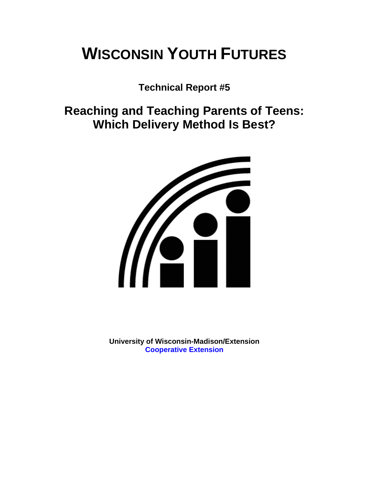# **WISCONSIN YOUTH FUTURES**

**Technical Report #5** 

**Reaching and Teaching Parents of Teens: Which Delivery Method Is Best?** 



**University of Wisconsin-Madison/Extension [Cooperative Extension](http://www1.uwex.edu/ces/index.cfm)**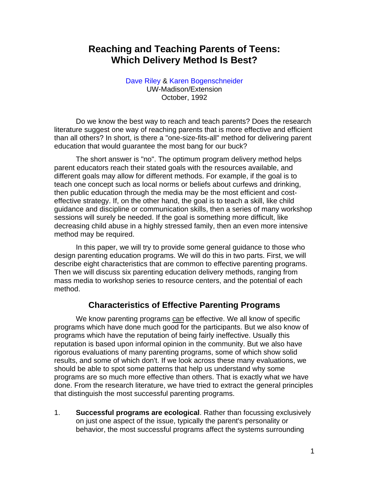# **Reaching and Teaching Parents of Teens: Which Delivery Method Is Best?**

[Dave Riley](http://www.uwex.edu/ces/flp/specialists/riley.html) & [Karen Bogenschneider](http://www.uwex.edu/ces/flp/specialists/bogensch.html) UW-Madison/Extension October, 1992

Do we know the best way to reach and teach parents? Does the research literature suggest one way of reaching parents that is more effective and efficient than all others? In short, is there a "one-size-fits-all" method for delivering parent education that would guarantee the most bang for our buck?

The short answer is "no". The optimum program delivery method helps parent educators reach their stated goals with the resources available, and different goals may allow for different methods. For example, if the goal is to teach one concept such as local norms or beliefs about curfews and drinking, then public education through the media may be the most efficient and costeffective strategy. If, on the other hand, the goal is to teach a skill, like child guidance and discipline or communication skills, then a series of many workshop sessions will surely be needed. If the goal is something more difficult, like decreasing child abuse in a highly stressed family, then an even more intensive method may be required.

In this paper, we will try to provide some general guidance to those who design parenting education programs. We will do this in two parts. First, we will describe eight characteristics that are common to effective parenting programs. Then we will discuss six parenting education delivery methods, ranging from mass media to workshop series to resource centers, and the potential of each method.

## **Characteristics of Effective Parenting Programs**

We know parenting programs can be effective. We all know of specific programs which have done much good for the participants. But we also know of programs which have the reputation of being fairly ineffective. Usually this reputation is based upon informal opinion in the community. But we also have rigorous evaluations of many parenting programs, some of which show solid results, and some of which don't. If we look across these many evaluations, we should be able to spot some patterns that help us understand why some programs are so much more effective than others. That is exactly what we have done. From the research literature, we have tried to extract the general principles that distinguish the most successful parenting programs.

1. **Successful programs are ecological**. Rather than focussing exclusively on just one aspect of the issue, typically the parent's personality or behavior, the most successful programs affect the systems surrounding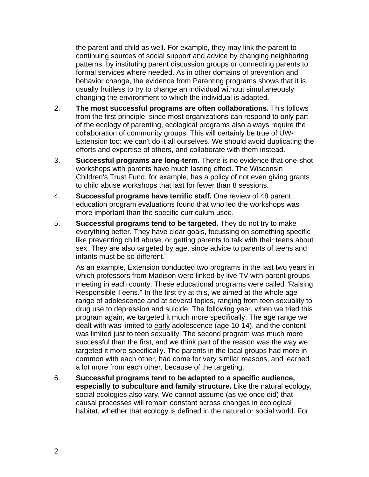the parent and child as well. For example, they may link the parent to continuing sources of social support and advice by changing neighboring patterns, by instituting parent discussion groups or connecting parents to formal services where needed. As in other domains of prevention and behavior change, the evidence from Parenting programs shows that it is usually fruitless to try to change an individual without simultaneously changing the environment to which the individual is adapted.

- 2. **The most successful programs are often collaborations.** This follows from the first principle: since most organizations can respond to only part of the ecology of parenting, ecological programs also always require the collaboration of community groups. This will certainly be true of UW-Extension too: we can't do it all ourselves. We should avoid duplicating the efforts and expertise of others, and collaborate with them instead.
- 3. **Successful programs are long-term.** There is no evidence that one-shot workshops with parents have much lasting effect. The Wisconsin Children's Trust Fund, for example, has a policy of not even giving grants to child abuse workshops that last for fewer than 8 sessions.
- 4. **Successful programs have terrific staff.** One review of 48 parent education program evaluations found that who led the workshops was more important than the specific curriculum used.
- 5. **Successful programs tend to be targeted.** They do not try to make everything better. They have clear goals, focussing on something specific like preventing child abuse, or getting parents to talk with their teens about sex. They are also targeted by age, since advice to parents of teens and infants must be so different.

As an example, Extension conducted two programs in the last two years in which professors from Madison were linked by live TV with parent groups meeting in each county. These educational programs were called "Raising Responsible Teens." In the first try at this, we aimed at the whole age range of adolescence and at several topics, ranging from teen sexuality to drug use to depression and suicide. The following year, when we tried this program again, we targeted it much more specifically: The age range we dealt with was limited to early adolescence (age 10-14), and the content was limited just to teen sexuality. The second program was much more successful than the first, and we think part of the reason was the way we targeted it more specifically. The parents in the local groups had more in common with each other, had come for very similar reasons, and learned a lot more from each other, because of the targeting.

6. **Successful programs tend to be adapted to a specific audience, especially to subculture and family structure.** Like the natural ecology, social ecologies also vary. We cannot assume (as we once did) that causal processes will remain constant across changes in ecological habitat, whether that ecology is defined in the natural or social world. For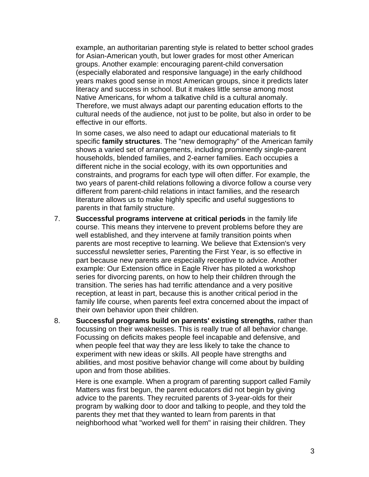example, an authoritarian parenting style is related to better school grades for Asian-American youth, but lower grades for most other American groups. Another example: encouraging parent-child conversation (especially elaborated and responsive language) in the early childhood years makes good sense in most American groups, since it predicts later literacy and success in school. But it makes little sense among most Native Americans, for whom a talkative child is a cultural anomaly. Therefore, we must always adapt our parenting education efforts to the cultural needs of the audience, not just to be polite, but also in order to be effective in our efforts.

In some cases, we also need to adapt our educational materials to fit specific **family structures**. The "new demography" of the American family shows a varied set of arrangements, including prominently single-parent households, blended families, and 2-earner families. Each occupies a different niche in the social ecology, with its own opportunities and constraints, and programs for each type will often differ. For example, the two years of parent-child relations following a divorce follow a course very different from parent-child relations in intact families, and the research literature allows us to make highly specific and useful suggestions to parents in that family structure.

- 7. **Successful programs intervene at critical periods** in the family life course. This means they intervene to prevent problems before they are well established, and they intervene at family transition points when parents are most receptive to learning. We believe that Extension's very successful newsletter series, Parenting the First Year, is so effective in part because new parents are especially receptive to advice. Another example: Our Extension office in Eagle River has piloted a workshop series for divorcing parents, on how to help their children through the transition. The series has had terrific attendance and a very positive reception, at least in part, because this is another critical period in the family life course, when parents feel extra concerned about the impact of their own behavior upon their children.
- 8. **Successful programs build on parents' existing strengths**, rather than focussing on their weaknesses. This is really true of all behavior change. Focussing on deficits makes people feel incapable and defensive, and when people feel that way they are less likely to take the chance to experiment with new ideas or skills. All people have strengths and abilities, and most positive behavior change will come about by building upon and from those abilities.

Here is one example. When a program of parenting support called Family Matters was first begun, the parent educators did not begin by giving advice to the parents. They recruited parents of 3-year-olds for their program by walking door to door and talking to people, and they told the parents they met that they wanted to learn from parents in that neighborhood what "worked well for them" in raising their children. They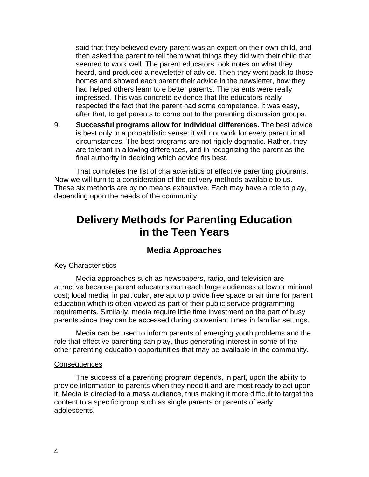said that they believed every parent was an expert on their own child, and then asked the parent to tell them what things they did with their child that seemed to work well. The parent educators took notes on what they heard, and produced a newsletter of advice. Then they went back to those homes and showed each parent their advice in the newsletter, how they had helped others learn to e better parents. The parents were really impressed. This was concrete evidence that the educators really respected the fact that the parent had some competence. It was easy, after that, to get parents to come out to the parenting discussion groups.

9. **Successful programs allow for individual differences.** The best advice is best only in a probabilistic sense: it will not work for every parent in all circumstances. The best programs are not rigidly dogmatic. Rather, they are tolerant in allowing differences, and in recognizing the parent as the final authority in deciding which advice fits best.

That completes the list of characteristics of effective parenting programs. Now we will turn to a consideration of the delivery methods available to us. These six methods are by no means exhaustive. Each may have a role to play, depending upon the needs of the community.

# **Delivery Methods for Parenting Education in the Teen Years**

## **Media Approaches**

## Key Characteristics

Media approaches such as newspapers, radio, and television are attractive because parent educators can reach large audiences at low or minimal cost; local media, in particular, are apt to provide free space or air time for parent education which is often viewed as part of their public service programming requirements. Similarly, media require little time investment on the part of busy parents since they can be accessed during convenient times in familiar settings.

Media can be used to inform parents of emerging youth problems and the role that effective parenting can play, thus generating interest in some of the other parenting education opportunities that may be available in the community.

#### **Consequences**

The success of a parenting program depends, in part, upon the ability to provide information to parents when they need it and are most ready to act upon it. Media is directed to a mass audience, thus making it more difficult to target the content to a specific group such as single parents or parents of early adolescents.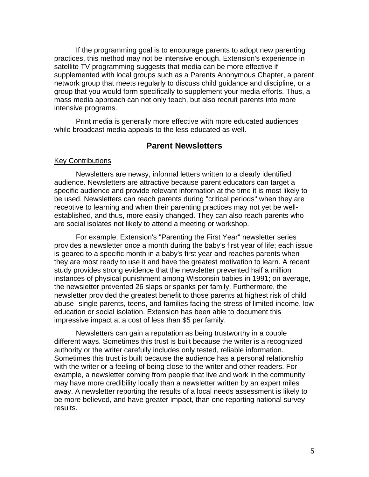If the programming goal is to encourage parents to adopt new parenting practices, this method may not be intensive enough. Extension's experience in satellite TV programming suggests that media can be more effective if supplemented with local groups such as a Parents Anonymous Chapter, a parent network group that meets regularly to discuss child guidance and discipline, or a group that you would form specifically to supplement your media efforts. Thus, a mass media approach can not only teach, but also recruit parents into more intensive programs.

Print media is generally more effective with more educated audiences while broadcast media appeals to the less educated as well.

## **Parent Newsletters**

#### Key Contributions

Newsletters are newsy, informal letters written to a clearly identified audience. Newsletters are attractive because parent educators can target a specific audience and provide relevant information at the time it is most likely to be used. Newsletters can reach parents during "critical periods" when they are receptive to learning and when their parenting practices may not yet be wellestablished, and thus, more easily changed. They can also reach parents who are social isolates not likely to attend a meeting or workshop.

For example, Extension's "Parenting the First Year" newsletter series provides a newsletter once a month during the baby's first year of life; each issue is geared to a specific month in a baby's first year and reaches parents when they are most ready to use it and have the greatest motivation to learn. A recent study provides strong evidence that the newsletter prevented half a million instances of physical punishment among Wisconsin babies in 1991; on average, the newsletter prevented 26 slaps or spanks per family. Furthermore, the newsletter provided the greatest benefit to those parents at highest risk of child abuse--single parents, teens, and families facing the stress of limited income, low education or social isolation. Extension has been able to document this impressive impact at a cost of less than \$5 per family.

Newsletters can gain a reputation as being trustworthy in a couple different ways. Sometimes this trust is built because the writer is a recognized authority or the writer carefully includes only tested, reliable information. Sometimes this trust is built because the audience has a personal relationship with the writer or a feeling of being close to the writer and other readers. For example, a newsletter coming from people that live and work in the community may have more credibility locally than a newsletter written by an expert miles away. A newsletter reporting the results of a local needs assessment is likely to be more believed, and have greater impact, than one reporting national survey results.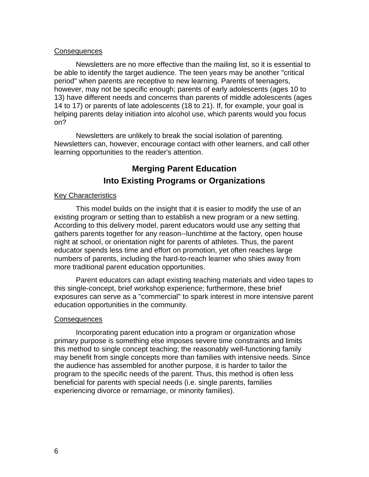#### Consequences

Newsletters are no more effective than the mailing list, so it is essential to be able to identify the target audience. The teen years may be another "critical period" when parents are receptive to new learning. Parents of teenagers, however, may not be specific enough; parents of early adolescents (ages 10 to 13) have different needs and concerns than parents of middle adolescents (ages 14 to 17) or parents of late adolescents (18 to 21). If, for example, your goal is helping parents delay initiation into alcohol use, which parents would you focus on?

Newsletters are unlikely to break the social isolation of parenting. Newsletters can, however, encourage contact with other learners, and call other learning opportunities to the reader's attention.

# **Merging Parent Education Into Existing Programs or Organizations**

#### Key Characteristics

This model builds on the insight that it is easier to modify the use of an existing program or setting than to establish a new program or a new setting. According to this delivery model, parent educators would use any setting that gathers parents together for any reason--lunchtime at the factory, open house night at school, or orientation night for parents of athletes. Thus, the parent educator spends less time and effort on promotion, yet often reaches large numbers of parents, including the hard-to-reach learner who shies away from more traditional parent education opportunities.

Parent educators can adapt existing teaching materials and video tapes to this single-concept, brief workshop experience; furthermore, these brief exposures can serve as a "commercial" to spark interest in more intensive parent education opportunities in the community.

#### **Consequences**

Incorporating parent education into a program or organization whose primary purpose is something else imposes severe time constraints and limits this method to single concept teaching; the reasonably well-functioning family may benefit from single concepts more than families with intensive needs. Since the audience has assembled for another purpose, it is harder to tailor the program to the specific needs of the parent. Thus, this method is often less beneficial for parents with special needs (i.e. single parents, families experiencing divorce or remarriage, or minority families).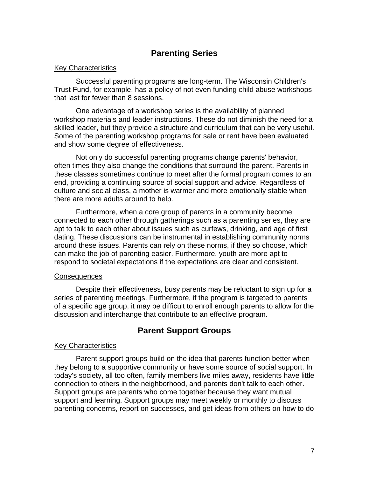## **Parenting Series**

#### Key Characteristics

Successful parenting programs are long-term. The Wisconsin Children's Trust Fund, for example, has a policy of not even funding child abuse workshops that last for fewer than 8 sessions.

One advantage of a workshop series is the availability of planned workshop materials and leader instructions. These do not diminish the need for a skilled leader, but they provide a structure and curriculum that can be very useful. Some of the parenting workshop programs for sale or rent have been evaluated and show some degree of effectiveness.

Not only do successful parenting programs change parents' behavior, often times they also change the conditions that surround the parent. Parents in these classes sometimes continue to meet after the formal program comes to an end, providing a continuing source of social support and advice. Regardless of culture and social class, a mother is warmer and more emotionally stable when there are more adults around to help.

Furthermore, when a core group of parents in a community become connected to each other through gatherings such as a parenting series, they are apt to talk to each other about issues such as curfews, drinking, and age of first dating. These discussions can be instrumental in establishing community norms around these issues. Parents can rely on these norms, if they so choose, which can make the job of parenting easier. Furthermore, youth are more apt to respond to societal expectations if the expectations are clear and consistent.

#### Consequences

Despite their effectiveness, busy parents may be reluctant to sign up for a series of parenting meetings. Furthermore, if the program is targeted to parents of a specific age group, it may be difficult to enroll enough parents to allow for the discussion and interchange that contribute to an effective program.

## **Parent Support Groups**

## Key Characteristics

Parent support groups build on the idea that parents function better when they belong to a supportive community or have some source of social support. In today's society, all too often, family members live miles away, residents have little connection to others in the neighborhood, and parents don't talk to each other. Support groups are parents who come together because they want mutual support and learning. Support groups may meet weekly or monthly to discuss parenting concerns, report on successes, and get ideas from others on how to do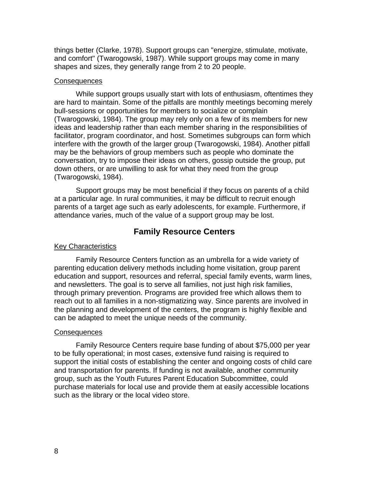things better (Clarke, 1978). Support groups can "energize, stimulate, motivate, and comfort" (Twarogowski, 1987). While support groups may come in many shapes and sizes, they generally range from 2 to 20 people.

#### **Consequences**

While support groups usually start with lots of enthusiasm, oftentimes they are hard to maintain. Some of the pitfalls are monthly meetings becoming merely bull-sessions or opportunities for members to socialize or complain (Twarogowski, 1984). The group may rely only on a few of its members for new ideas and leadership rather than each member sharing in the responsibilities of facilitator, program coordinator, and host. Sometimes subgroups can form which interfere with the growth of the larger group (Twarogowski, 1984). Another pitfall may be the behaviors of group members such as people who dominate the conversation, try to impose their ideas on others, gossip outside the group, put down others, or are unwilling to ask for what they need from the group (Twarogowski, 1984).

Support groups may be most beneficial if they focus on parents of a child at a particular age. In rural communities, it may be difficult to recruit enough parents of a target age such as early adolescents, for example. Furthermore, if attendance varies, much of the value of a support group may be lost.

## **Family Resource Centers**

#### Key Characteristics

Family Resource Centers function as an umbrella for a wide variety of parenting education delivery methods including home visitation, group parent education and support, resources and referral, special family events, warm lines, and newsletters. The goal is to serve all families, not just high risk families, through primary prevention. Programs are provided free which allows them to reach out to all families in a non-stigmatizing way. Since parents are involved in the planning and development of the centers, the program is highly flexible and can be adapted to meet the unique needs of the community.

#### Consequences

Family Resource Centers require base funding of about \$75,000 per year to be fully operational; in most cases, extensive fund raising is required to support the initial costs of establishing the center and ongoing costs of child care and transportation for parents. If funding is not available, another community group, such as the Youth Futures Parent Education Subcommittee, could purchase materials for local use and provide them at easily accessible locations such as the library or the local video store.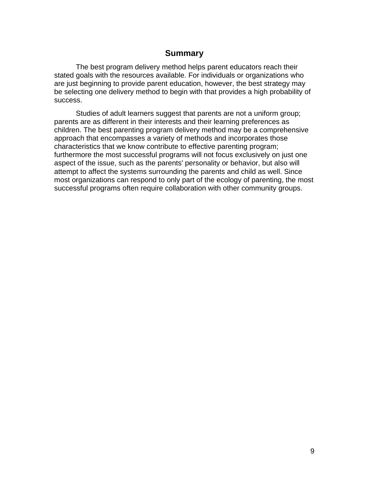## **Summary**

The best program delivery method helps parent educators reach their stated goals with the resources available. For individuals or organizations who are just beginning to provide parent education, however, the best strategy may be selecting one delivery method to begin with that provides a high probability of success.

Studies of adult learners suggest that parents are not a uniform group; parents are as different in their interests and their learning preferences as children. The best parenting program delivery method may be a comprehensive approach that encompasses a variety of methods and incorporates those characteristics that we know contribute to effective parenting program; furthermore the most successful programs will not focus exclusively on just one aspect of the issue, such as the parents' personality or behavior, but also will attempt to affect the systems surrounding the parents and child as well. Since most organizations can respond to only part of the ecology of parenting, the most successful programs often require collaboration with other community groups.